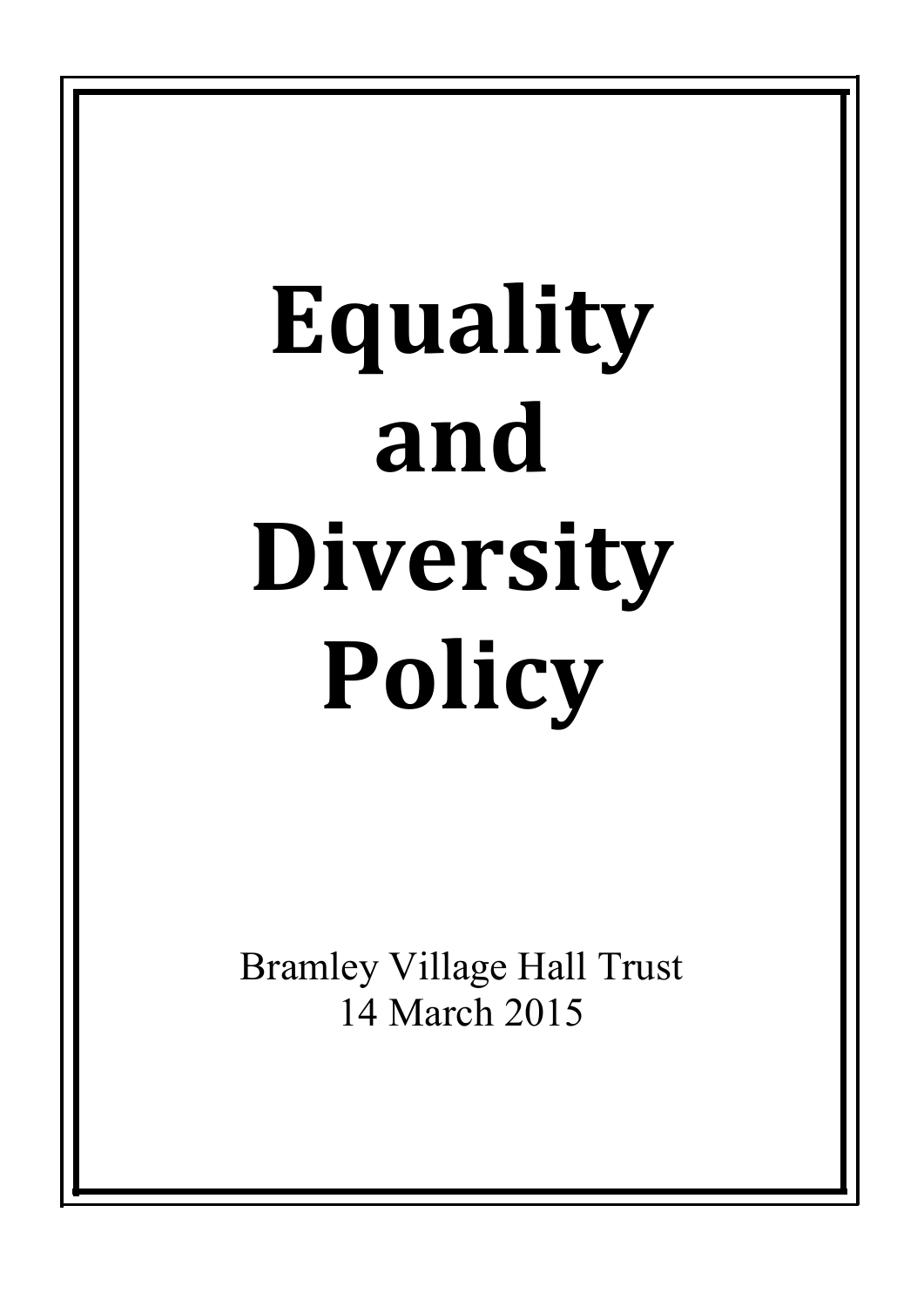# **Equality and Diversity Policy**

Bramley Village Hall Trust 14 March 2015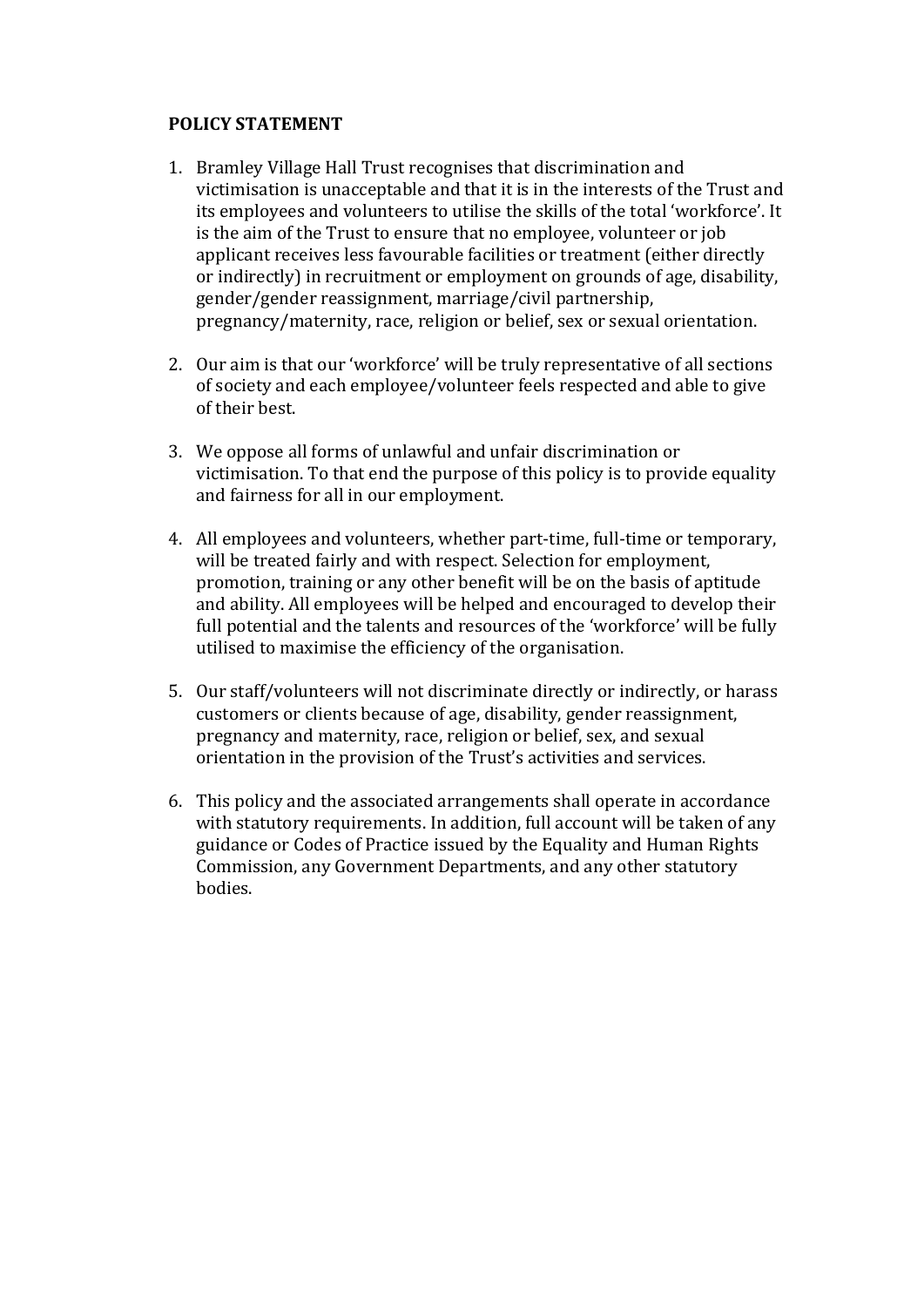# **POLICY STATEMENT**

- 1. Bramley Village Hall Trust recognises that discrimination and victimisation is unacceptable and that it is in the interests of the Trust and its employees and volunteers to utilise the skills of the total 'workforce'. It is the aim of the Trust to ensure that no employee, volunteer or job applicant receives less favourable facilities or treatment (either directly or indirectly) in recruitment or employment on grounds of age, disability, gender/gender reassignment, marriage/civil partnership, pregnancy/maternity, race, religion or belief, sex or sexual orientation.
- 2. Our aim is that our 'workforce' will be truly representative of all sections of society and each employee/volunteer feels respected and able to give of their best.
- 3. We oppose all forms of unlawful and unfair discrimination or victimisation. To that end the purpose of this policy is to provide equality and fairness for all in our employment.
- 4. All employees and volunteers, whether part-time, full-time or temporary, will be treated fairly and with respect. Selection for employment, promotion, training or any other benefit will be on the basis of aptitude and ability. All employees will be helped and encouraged to develop their full potential and the talents and resources of the 'workforce' will be fully utilised to maximise the efficiency of the organisation.
- 5. Our staff/volunteers will not discriminate directly or indirectly, or harass customers or clients because of age, disability, gender reassignment, pregnancy and maternity, race, religion or belief, sex, and sexual orientation in the provision of the Trust's activities and services.
- 6. This policy and the associated arrangements shall operate in accordance with statutory requirements. In addition, full account will be taken of any guidance or Codes of Practice issued by the Equality and Human Rights Commission, any Government Departments, and any other statutory bodies.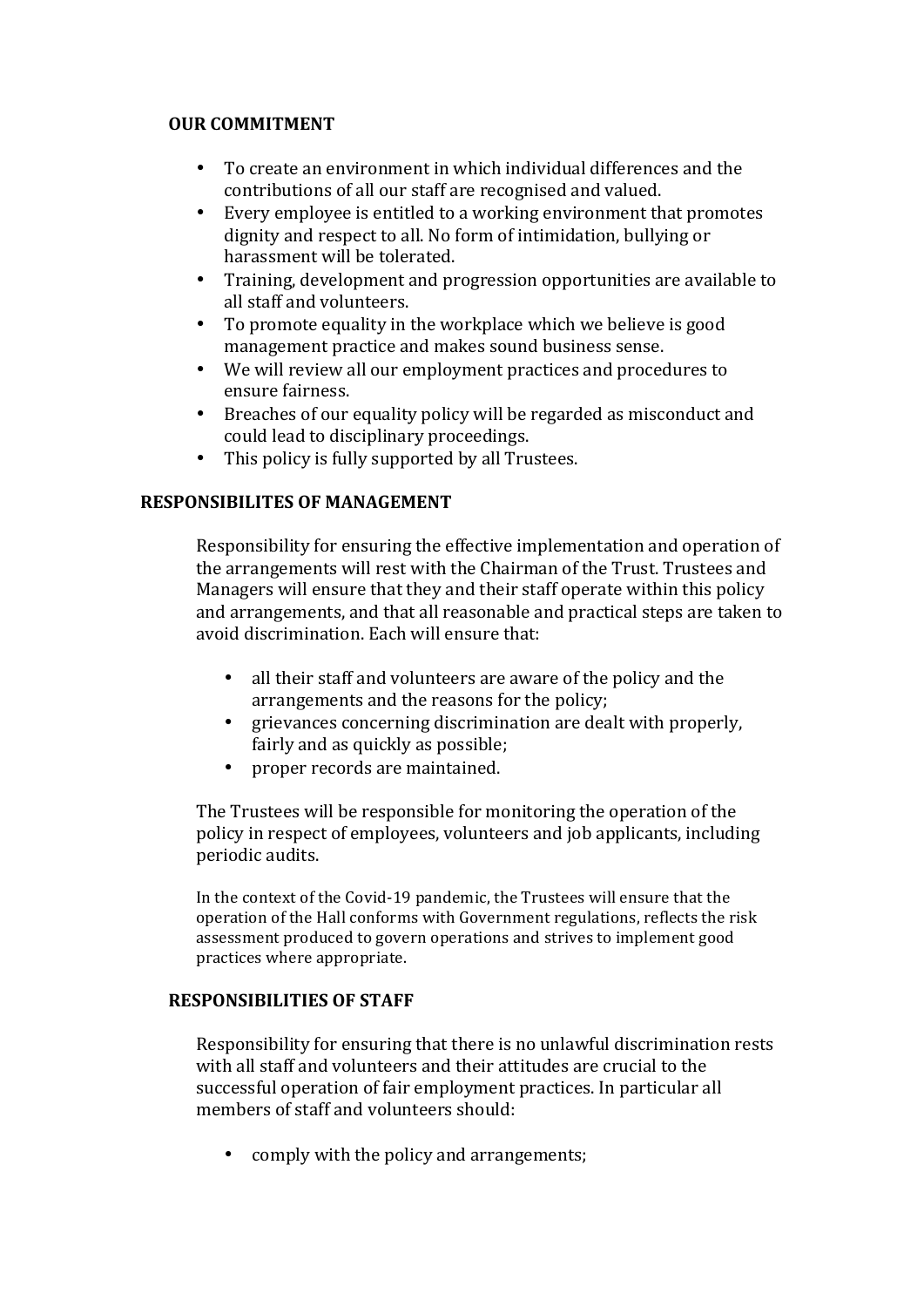# **OUR COMMITMENT**

- To create an environment in which individual differences and the contributions of all our staff are recognised and valued.
- Every employee is entitled to a working environment that promotes dignity and respect to all. No form of intimidation, bullying or harassment will be tolerated.
- Training, development and progression opportunities are available to all staff and volunteers.
- To promote equality in the workplace which we believe is good management practice and makes sound business sense.
- We will review all our employment practices and procedures to ensure fairness.
- Breaches of our equality policy will be regarded as misconduct and could lead to disciplinary proceedings.
- This policy is fully supported by all Trustees.

# **RESPONSIBILITES OF MANAGEMENT**

Responsibility for ensuring the effective implementation and operation of the arrangements will rest with the Chairman of the Trust. Trustees and Managers will ensure that they and their staff operate within this policy and arrangements, and that all reasonable and practical steps are taken to avoid discrimination. Each will ensure that:

- all their staff and volunteers are aware of the policy and the arrangements and the reasons for the policy;
- grievances concerning discrimination are dealt with properly. fairly and as quickly as possible;
- proper records are maintained.

The Trustees will be responsible for monitoring the operation of the policy in respect of employees, volunteers and job applicants, including periodic audits.

In the context of the Covid-19 pandemic, the Trustees will ensure that the operation of the Hall conforms with Government regulations, reflects the risk assessment produced to govern operations and strives to implement good practices where appropriate.

# **RESPONSIBILITIES OF STAFF**

Responsibility for ensuring that there is no unlawful discrimination rests with all staff and volunteers and their attitudes are crucial to the successful operation of fair employment practices. In particular all members of staff and volunteers should:

• comply with the policy and arrangements;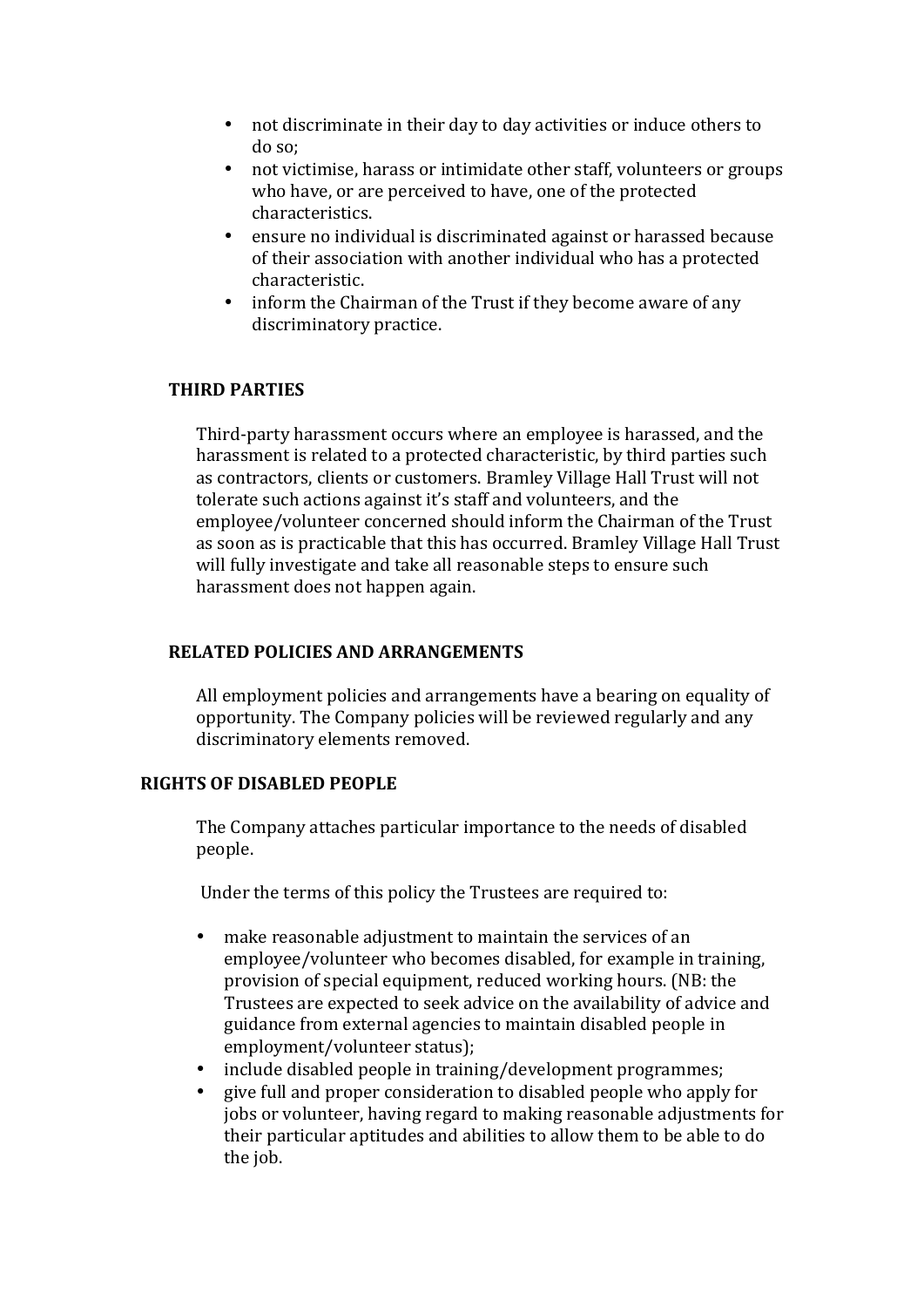- not discriminate in their day to day activities or induce others to do so;
- not victimise, harass or intimidate other staff, volunteers or groups who have, or are perceived to have, one of the protected characteristics.
- ensure no individual is discriminated against or harassed because of their association with another individual who has a protected characteristic.
- inform the Chairman of the Trust if they become aware of any discriminatory practice.

# **THIRD PARTIES**

Third-party harassment occurs where an employee is harassed, and the harassment is related to a protected characteristic, by third parties such as contractors, clients or customers. Bramley Village Hall Trust will not tolerate such actions against it's staff and volunteers, and the employee/volunteer concerned should inform the Chairman of the Trust as soon as is practicable that this has occurred. Bramley Village Hall Trust will fully investigate and take all reasonable steps to ensure such harassment does not happen again.

### **RELATED POLICIES AND ARRANGEMENTS**

All employment policies and arrangements have a bearing on equality of opportunity. The Company policies will be reviewed regularly and any discriminatory elements removed.

# **RIGHTS OF DISABLED PEOPLE**

The Company attaches particular importance to the needs of disabled people.

Under the terms of this policy the Trustees are required to:

- make reasonable adjustment to maintain the services of an employee/volunteer who becomes disabled, for example in training, provision of special equipment, reduced working hours. (NB: the Trustees are expected to seek advice on the availability of advice and guidance from external agencies to maintain disabled people in employment/volunteer status);
- include disabled people in training/development programmes;
- give full and proper consideration to disabled people who apply for jobs or volunteer, having regard to making reasonable adjustments for their particular aptitudes and abilities to allow them to be able to do the job.